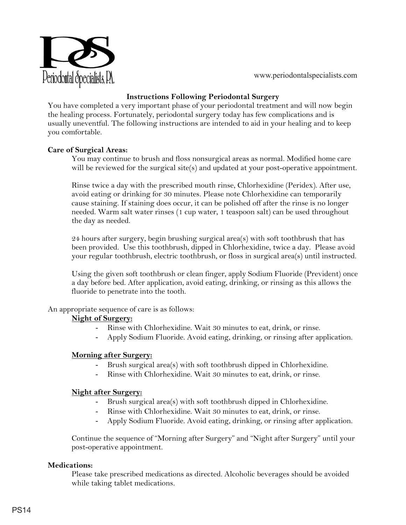

### **Instructions Following Periodontal Surgery**

You have completed a very important phase of your periodontal treatment and will now begin the healing process. Fortunately, periodontal surgery today has few complications and is usually uneventful. The following instructions are intended to aid in your healing and to keep you comfortable.

#### **Care of Surgical Areas:**

You may continue to brush and floss nonsurgical areas as normal. Modified home care will be reviewed for the surgical site(s) and updated at your post-operative appointment.

Rinse twice a day with the prescribed mouth rinse, Chlorhexidine (Peridex). After use, avoid eating or drinking for 30 minutes. Please note Chlorhexidine can temporarily cause staining. If staining does occur, it can be polished off after the rinse is no longer needed. Warm salt water rinses (1 cup water, 1 teaspoon salt) can be used throughout the day as needed.

24 hours after surgery, begin brushing surgical area(s) with soft toothbrush that has been provided. Use this toothbrush, dipped in Chlorhexidine, twice a day. Please avoid your regular toothbrush, electric toothbrush, or floss in surgical area(s) until instructed.

Using the given soft toothbrush or clean finger, apply Sodium Fluoride (Prevident) once a day before bed. After application, avoid eating, drinking, or rinsing as this allows the fluoride to penetrate into the tooth.

#### An appropriate sequence of care is as follows:

# **Night of Surgery:**

- Rinse with Chlorhexidine. Wait 30 minutes to eat, drink, or rinse.
- Apply Sodium Fluoride. Avoid eating, drinking, or rinsing after application.

# **Morning after Surgery:**

- Brush surgical area(s) with soft toothbrush dipped in Chlorhexidine.
- Rinse with Chlorhexidine. Wait 30 minutes to eat, drink, or rinse.

# **Night after Surgery:**

- Brush surgical area(s) with soft toothbrush dipped in Chlorhexidine.
- Rinse with Chlorhexidine. Wait 30 minutes to eat, drink, or rinse.
- Apply Sodium Fluoride. Avoid eating, drinking, or rinsing after application.

Continue the sequence of "Morning after Surgery" and "Night after Surgery" until your post-operative appointment.

# **Medications:**

Please take prescribed medications as directed. Alcoholic beverages should be avoided while taking tablet medications.